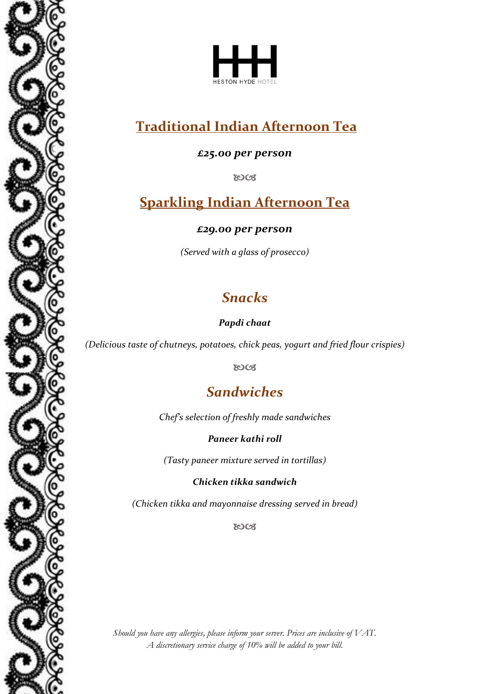



# **Traditional Indian Afternoon Tea**

*£25.00 per person*

8003

## **Sparkling Indian Afternoon Tea**

*£29.00 per person*

*(Served with a glass of prosecco)*

# *Snacks*

*Papdi chaat*

*(Delicious taste of chutneys, potatoes, chick peas, yogurt and fried flour crispies)*

**ROCS** 

# *Sandwiches*

*Chef's selection of freshly made sandwiches*

*Paneer kathi roll*

*(Tasty paneer mixture served in tortillas)*

*Chicken tikka sandwich*

*(Chicken tikka and mayonnaise dressing served in bread)*

**ROCS** 

*Should you have any allergies, please inform your server. Prices are inclusive of VAT. A discretionary service charge of 10% will be added to your bill.*